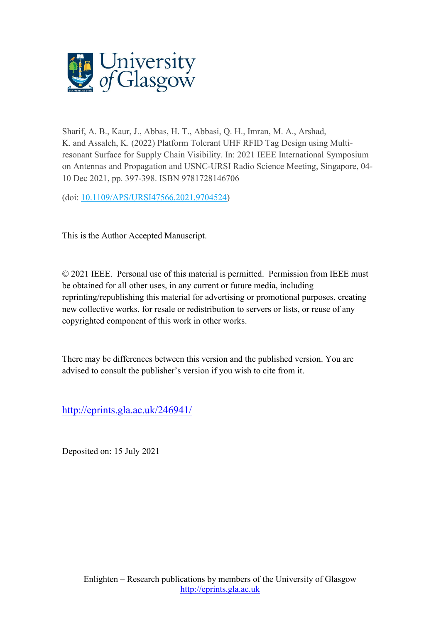

Sharif, A. B., Kaur, J., Abbas, H. T., Abbasi, Q. H., Imran, M. A., Arshad, K. and Assaleh, K. (2022) Platform Tolerant UHF RFID Tag Design using Multiresonant Surface for Supply Chain Visibility. In: 2021 IEEE International Symposium on Antennas and Propagation and USNC-URSI Radio Science Meeting, Singapore, 04- 10 Dec 2021, pp. 397-398. ISBN 9781728146706

(doi: [10.1109/APS/URSI47566.2021.9704524\)](http://dx.doi.org/10.1109/APS/URSI47566.2021.9704524)

This is the Author Accepted Manuscript.

© 2021 IEEE. Personal use of this material is permitted. Permission from IEEE must be obtained for all other uses, in any current or future media, including reprinting/republishing this material for advertising or promotional purposes, creating new collective works, for resale or redistribution to servers or lists, or reuse of any copyrighted component of this work in other works.

There may be differences between this version and the published version. You are advised to consult the publisher's version if you wish to cite from it.

<http://eprints.gla.ac.uk/246941/>

Deposited on: 15 July 2021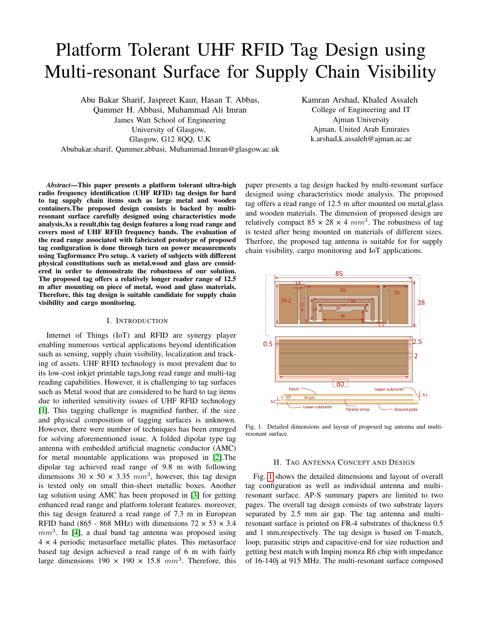# Platform Tolerant UHF RFID Tag Design using Multi-resonant Surface for Supply Chain Visibility

Abu Bakar Sharif, Jaspreet Kaur, Hasan T. Abbas, Qammer H. Abbasi, Muhammad Ali Imran James Watt School of Engineering University of Glasgow, Glasgow, G12 8QQ, U.K

Kamran Arshad, Khaled Assaleh College of Engineering and IT Ajman University Ajman, United Arab Emirates k.arshad,k.assaleh@ajman.ac.ae

Abubakar.sharif, Qammer.abbasi, Muhammad.Imran@glasgow.ac.uk

*Abstract*—This paper presents a platform tolerant ultra-high radio frequency identification (UHF RFID) tag design for hard to tag supply chain items such as large metal and wooden containers.The proposed design consists is backed by multiresonant surface carefully designed using characteristics mode analysis.As a result,this tag design features a long read range and covers most of UHF RFID frequency bands. The evaluation of the read range associated with fabricated prototype of proposed tag configuration is done through turn on power measurements using Tagformance Pro setup. A variety of subjects with different physical constitutions such as metal,wood and glass are considered in order to demonstrate the robustness of our solution. The proposed tag offers a relatively longer reader range of 12.5 m after mounting on piece of metal, wood and glass materials. Therefore, this tag design is suitable candidate for supply chain visibility and cargo monitoring.

## I. INTRODUCTION

Internet of Things (IoT) and RFID are synergy player enabling numerous vertical applications beyond identification such as sensing, supply chain visibility, localization and tracking of assets. UHF RFID technology is most prevalent due to its low-cost inkjet printable tags,long read range and multi-tag reading capabilities. However, it is challenging to tag surfaces such as Metal wood that are considered to be hard to tag items due to inherited sensitivity issues of UHF RFID technology [\[1\]](#page-2-0). This tagging challenge is magnified further, if the size and physical composition of tagging surfaces is unknown. However, there were number of techniques has been emerged for solving aforementioned issue. A folded dipolar type tag antenna with embedded artificial magnetic conductor (AMC) for metal mountable applications was proposed in [\[2\]](#page-2-1).The dipolar tag achieved read range of 9.8 m with following dimensions  $30 \times 50 \times 3.35$   $mm^3$ , however, this tag design is tested only on small thin-sheet metallic boxes. Another tag solution using AMC has been proposed in [\[3\]](#page-2-2) for getting enhanced read range and platform tolerant features. moreover, this tag design featured a read range of 7.3 m in European RFID band (865 - 868 MHz) with dimensions  $72 \times 53 \times 3.4$  $mm<sup>3</sup>$ . In [\[4\]](#page-2-3), a dual band tag antenna was proposed using  $4 \times 4$  periodic metasurface metallic plates. This metasurface based tag design achieved a read range of 6 m with fairly large dimensions  $190 \times 190 \times 15.8$   $mm^3$ . Therefore, this

paper presents a tag design backed by multi-resonant surface designed using characteristics mode analysis. The proposed tag offers a read range of 12.5 m after mounted on metal,glass and wooden materials. The dimension of proposed design are relatively compact  $85 \times 28 \times 4 \, mm^3$ . The robustness of tag is tested after being mounted on materials of different sizes. Therfore, the proposed tag antenna is suitable for for supply chain visibility, cargo monitoring and IoT applications.



<span id="page-1-0"></span>Fig. 1. Detailed dimensions and layout of proposed tag antenna and multiresonant surface.

### II. TAG ANTENNA CONCEPT AND DESIGN

Fig. [1](#page-1-0) shows the detailed dimensions and layout of overall tag configuration as well as individual antenna and multiresonant surface. AP-S summary papers are limited to two pages. The overall tag design consists of two substrate layers separated by 2.5 mm air gap. The tag antenna and multiresonant surface is printed on FR-4 substrates of thickness 0.5 and 1 mm,respectively. The tag design is based on T-match, loop, parasitic strips and capacitive-end for size reduction and getting best match with Impinj monza R6 chip with impedance of 16-140j at 915 MHz. The multi-resonant surface composed